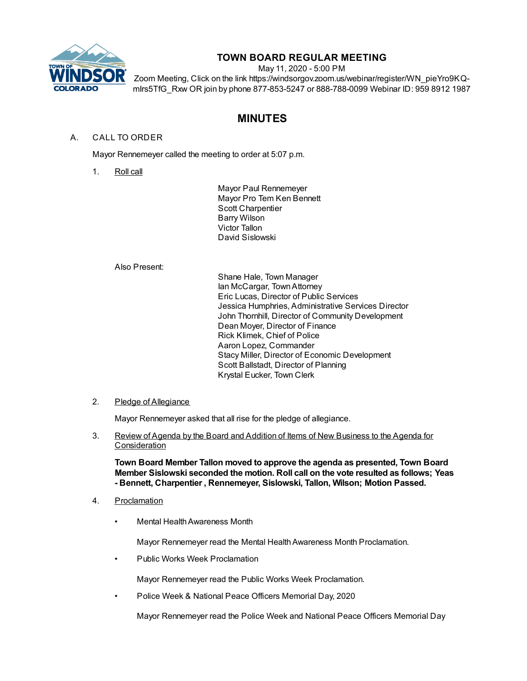

# **TOWN BOARD REGULAR MEETING**

May 11, 2020 - 5:00 PM

Zoom Meeting, Click on the link https://windsorgov.zoom.us/webinar/register/WN\_pieYro9KQmIrs5TfG\_Rxw OR join by phone 877-853-5247 or 888-788-0099 Webinar ID: 959 8912 1987

# **MINUTES**

# A. CALL TO ORDER

Mayor Rennemeyer called the meeting to order at 5:07 p.m.

1. Roll call

Mayor Paul Rennemeyer Mayor Pro Tem Ken Bennett Scott Charpentier Barry Wilson Victor Tallon David Sislowski

### Also Present:

Shane Hale, Town Manager Ian McCargar, Town Attorney Eric Lucas, Director of Public Services Jessica Humphries, Administrative Services Director John Thornhill, Director of Community Development Dean Moyer, Director of Finance Rick Klimek, Chief of Police Aaron Lopez, Commander Stacy Miller, Director of Economic Development Scott Ballstadt, Director of Planning Krystal Eucker, Town Clerk

# 2. Pledge of Allegiance

Mayor Rennemeyer asked that all rise for the pledge of allegiance.

3. Review of Agenda by the Board and Addition of Items of New Business to the Agenda for **Consideration** 

**Town Board Member Tallon moved to approve the agenda as presented, Town Board Member Sislowski seconded the motion. Roll call on the vote resulted as follows; Yeas - Bennett, Charpentier , Rennemeyer, Sislowski, Tallon, Wilson; Motion Passed.**

- 4. Proclamation
	- Mental Health Awareness Month

Mayor Rennemeyer read the Mental Health Awareness Month Proclamation.

• Public Works Week Proclamation

Mayor Rennemeyer read the Public Works Week Proclamation.

• Police Week & National Peace Officers Memorial Day, 2020

Mayor Rennemeyer read the Police Week and National Peace Officers Memorial Day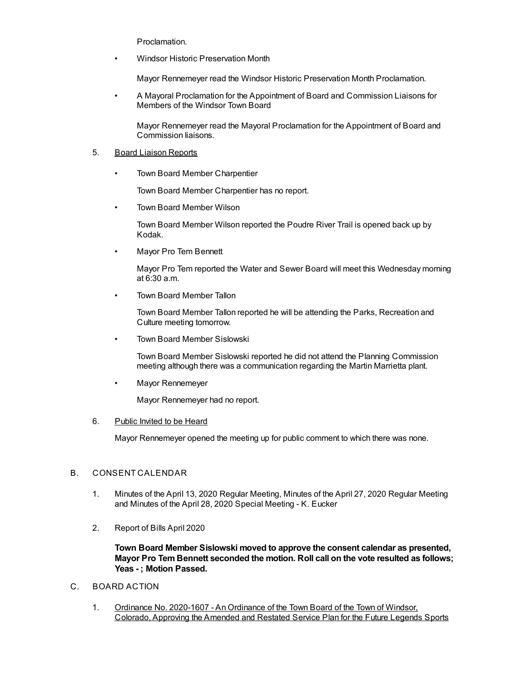Proclamation.

• Windsor Historic Preservation Month

Mayor Rennemeyer read the Windsor Historic Preservation Month Proclamation.

• A Mayoral Proclamation for the Appointment of Board and Commission Liaisons for Members of the Windsor Town Board

Mayor Rennemeyer read the Mayoral Proclamation for the Appointment of Board and Commission liaisons.

#### 5. Board Liaison Reports

• Town Board Member Charpentier

Town Board Member Charpentier has no report.

• Town Board Member Wilson

Town Board Member Wilson reported the Poudre River Trail is opened back up by Kodak.

• Mayor Pro Tem Bennett

Mayor Pro Tem reported the Water and Sewer Board will meet this Wednesday morning at 6:30 a.m.

• Town Board Member Tallon

Town Board Member Tallon reported he will be attending the Parks, Recreation and Culture meeting tomorrow.

• Town Board Member Sislowski

Town Board Member Sislowski reported he did not attend the Planning Commission meeting although there was a communication regarding the Martin Marrietta plant.

• Mayor Rennemeyer

Mayor Rennemeyer had no report.

### 6. Public Invited to be Heard

Mayor Rennemeyer opened the meeting up for public comment to which there was none.

# B. CONSENT CALENDAR

- 1. Minutes of the April 13, 2020 Regular Meeting, Minutes of the April 27, 2020 Regular Meeting and Minutes of the April 28, 2020 Special Meeting - K. Eucker
- 2. Report of Bills April 2020

**Town Board Member Sislowski moved to approve the consent calendar as presented, Mayor Pro Tem Bennett seconded the motion. Roll call on the vote resulted as follows; Yeas - ; Motion Passed.**

- C. BOARD ACTION
	- 1. Ordinance No. 2020-1607 An Ordinance of the Town Board of the Town of Windsor, Colorado, Approving the Amended and Restated Service Plan for the Future Legends Sports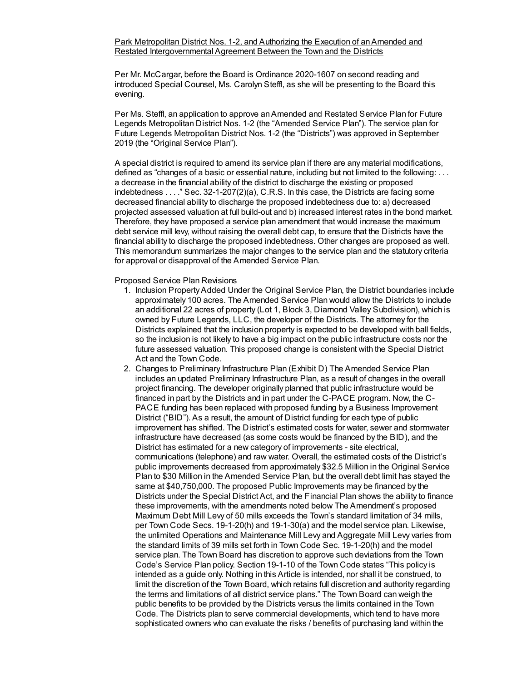Per Mr. McCargar, before the Board is Ordinance 2020-1607 on second reading and introduced Special Counsel, Ms. Carolyn Steffl, as she will be presenting to the Board this evening.

Per Ms. Steffl, an application to approve an Amended and Restated Service Plan for Future Legends Metropolitan District Nos. 1-2 (the "Amended Service Plan"). The service plan for Future Legends Metropolitan District Nos. 1-2 (the "Districts") was approved in September 2019 (the "Original Service Plan").

A special district is required to amend its service plan if there are any material modifications, defined as "changes of a basic or essential nature, including but not limited to the following: . . . a decrease in the financial ability of the district to discharge the existing or proposed indebtedness . . . ." Sec. 32-1-207(2)(a), C.R.S. In this case, the Districts are facing some decreased financial ability to discharge the proposed indebtedness due to: a) decreased projected assessed valuation at full build-out and b) increased interest rates in the bond market. Therefore, they have proposed a service plan amendment that would increase the maximum debt service mill levy, without raising the overall debt cap, to ensure that the Districts have the financial ability to discharge the proposed indebtedness. Other changes are proposed as well. This memorandum summarizes the major changes to the service plan and the statutory criteria for approval or disapproval of the Amended Service Plan.

Proposed Service Plan Revisions

- 1. Inclusion Property Added Under the Original Service Plan, the District boundaries include approximately 100 acres. The Amended Service Plan would allow the Districts to include an additional 22 acres of property (Lot 1, Block 3, Diamond Valley Subdivision), which is owned by Future Legends, LLC, the developer of the Districts. The attorney for the Districts explained that the inclusion property is expected to be developed with ball fields, so the inclusion is not likely to have a big impact on the public infrastructure costs nor the future assessed valuation. This proposed change is consistent with the Special District Act and the Town Code.
- 2. Changes to Preliminary Infrastructure Plan (Exhibit D) The Amended Service Plan includes an updated Preliminary Infrastructure Plan, as a result of changes in the overall project financing. The developer originally planned that public infrastructure would be financed in part by the Districts and in part under the C-PACE program. Now, the C-PACE funding has been replaced with proposed funding by a Business Improvement District ("BID"). As a result, the amount of District funding for each type of public improvement has shifted. The District's estimated costs for water, sewer and stormwater infrastructure have decreased (as some costs would be financed by the BID), and the District has estimated for a new category of improvements - site electrical, communications (telephone) and raw water. Overall, the estimated costs of the District's public improvements decreased from approximately \$32.5 Million in the Original Service Plan to \$30 Million in the Amended Service Plan, but the overall debt limit has stayed the same at \$40,750,000. The proposed Public Improvements may be financed by the Districts under the Special District Act, and the Financial Plan shows the ability to finance these improvements, with the amendments noted below The Amendment's proposed Maximum Debt Mill Levy of 50 mills exceeds the Town's standard limitation of 34 mills, per Town Code Secs. 19-1-20(h) and 19-1-30(a) and the model service plan. Likewise, the unlimited Operations and Maintenance Mill Levy and Aggregate Mill Levy varies from the standard limits of 39 mills set forth in Town Code Sec. 19-1-20(h) and the model service plan. The Town Board has discretion to approve such deviations from the Town Code's Service Plan policy. Section 19-1-10 of the Town Code states "This policy is intended as a guide only. Nothing in this Article is intended, nor shall it be construed, to limit the discretion of the Town Board, which retains full discretion and authority regarding the terms and limitations of all district service plans." The Town Board can weigh the public benefits to be provided by the Districts versus the limits contained in the Town Code. The Districts plan to serve commercial developments, which tend to have more sophisticated owners who can evaluate the risks / benefits of purchasing land within the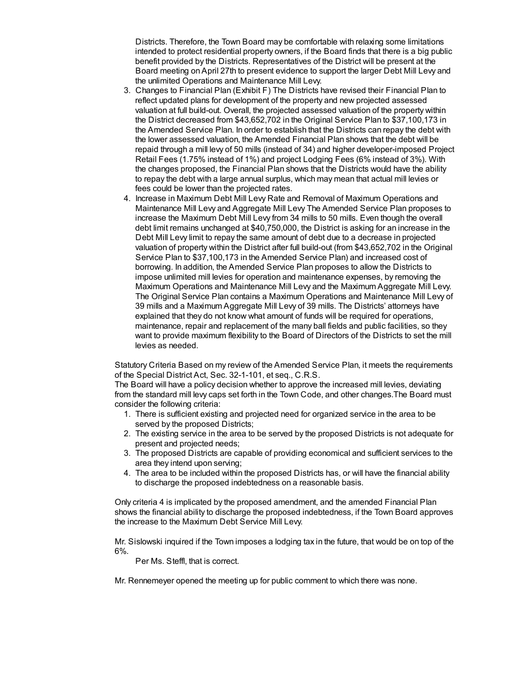Districts. Therefore, the Town Board may be comfortable with relaxing some limitations intended to protect residential property owners, if the Board finds that there is a big public benefit provided by the Districts. Representatives of the District will be present at the Board meeting onApril 27th to present evidence to support the larger Debt Mill Levy and the unlimited Operations and Maintenance Mill Levy.

- 3. Changes to Financial Plan (Exhibit F) The Districts have revised their Financial Plan to reflect updated plans for development of the property and new projected assessed valuation at full build-out. Overall, the projected assessed valuation of the property within the District decreased from \$43,652,702 in the Original Service Plan to \$37,100,173 in the Amended Service Plan. In order to establish that the Districts can repay the debt with the lower assessed valuation, the Amended Financial Plan shows that the debt will be repaid through a mill levy of 50 mills (instead of 34) and higher developer-imposed Project Retail Fees (1.75% instead of 1%) and project Lodging Fees (6% instead of 3%). With the changes proposed, the Financial Plan shows that the Districts would have the ability to repay the debt with a large annual surplus, which may mean that actual mill levies or fees could be lower than the projected rates.
- 4. Increase in Maximum Debt Mill Levy Rate and Removal of Maximum Operations and Maintenance Mill Levy and Aggregate Mill Levy The Amended Service Plan proposes to increase the Maximum Debt Mill Levy from 34 mills to 50 mills. Even though the overall debt limit remains unchanged at \$40,750,000, the District is asking for an increase in the Debt Mill Levy limit to repay the same amount of debt due to a decrease in projected valuation of property within the District after full build-out (from \$43,652,702 in the Original Service Plan to \$37,100,173 in the Amended Service Plan) and increased cost of borrowing. In addition, the Amended Service Plan proposes to allow the Districts to impose unlimited mill levies for operation and maintenance expenses, by removing the Maximum Operations and Maintenance Mill Levy and the Maximum Aggregate Mill Levy. The Original Service Plan contains a Maximum Operations and Maintenance Mill Levy of 39 mills and a Maximum Aggregate Mill Levy of 39 mills. The Districts' attorneys have explained that they do not know what amount of funds will be required for operations, maintenance, repair and replacement of the many ball fields and public facilities, so they want to provide maximum flexibility to the Board of Directors of the Districts to set the mill levies as needed.

Statutory Criteria Based on my review of the Amended Service Plan, it meets the requirements of the Special District Act, Sec. 32-1-101, et seq., C.R.S.

The Board will have a policy decision whether to approve the increased mill levies, deviating from the standard mill levy caps set forth in the Town Code, and other changes.The Board must consider the following criteria:

- 1. There is sufficient existing and projected need for organized service in the area to be served by the proposed Districts;
- 2. The existing service in the area to be served by the proposed Districts is not adequate for present and projected needs;
- 3. The proposed Districts are capable of providing economical and sufficient services to the area they intend upon serving;
- 4. The area to be included within the proposed Districts has, or will have the financial ability to discharge the proposed indebtedness on a reasonable basis.

Only criteria 4 is implicated by the proposed amendment, and the amended Financial Plan shows the financial ability to discharge the proposed indebtedness, if the Town Board approves the increase to the Maximum Debt Service Mill Levy.

Mr. Sislowski inquired if the Town imposes a lodging tax in the future, that would be on top of the 6%.

Per Ms. Steffl, that is correct.

Mr. Rennemeyer opened the meeting up for public comment to which there was none.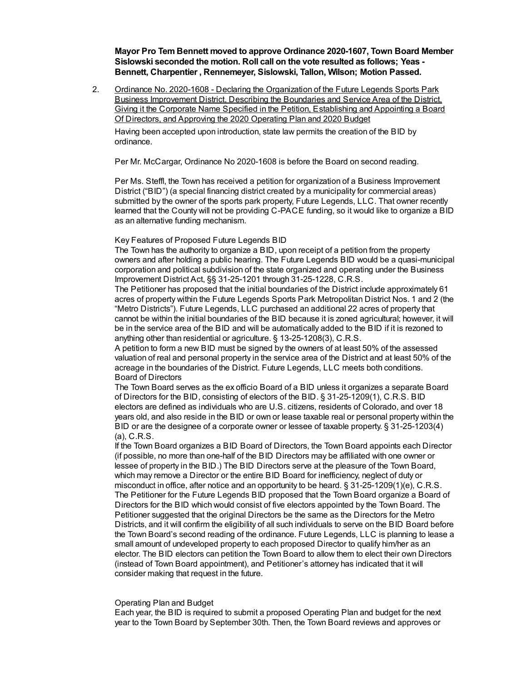**Mayor Pro Tem Bennett moved to approve Ordinance 2020-1607, Town Board Member Sislowski seconded the motion. Roll call on the vote resulted as follows; Yeas - Bennett, Charpentier , Rennemeyer, Sislowski, Tallon, Wilson; Motion Passed.**

2. Ordinance No. 2020-1608 - Declaring the Organization of the Future Legends Sports Park Business Improvement District, Describing the Boundaries and Service Area of the District, Giving it the Corporate Name Specified in the Petition, Establishing and Appointing a Board Of Directors, and Approving the 2020 Operating Plan and 2020 Budget

Having been accepted upon introduction, state law permits the creation of the BID by ordinance.

Per Mr. McCargar, Ordinance No 2020-1608 is before the Board on second reading.

Per Ms. Steffl, the Town has received a petition for organization of a Business Improvement District ("BID") (a special financing district created by a municipality for commercial areas) submitted by the owner of the sports park property, Future Legends, LLC. That owner recently learned that the County will not be providing C-PACE funding, so it would like to organize a BID as an alternative funding mechanism.

#### Key Features of Proposed Future Legends BID

The Town has the authority to organize a BID, upon receipt of a petition from the property owners and after holding a public hearing. The Future Legends BID would be a quasi-municipal corporation and political subdivision of the state organized and operating under the Business Improvement District Act, §§ 31-25-1201 through 31-25-1228, C.R.S.

The Petitioner has proposed that the initial boundaries of the District include approximately 61 acres of property within the Future Legends Sports Park Metropolitan District Nos. 1 and 2 (the "Metro Districts"). Future Legends, LLC purchased an additional 22 acres of property that cannot be within the initial boundaries of the BID because it is zoned agricultural; however, it will be in the service area of the BID and will be automatically added to the BID if it is rezoned to anything other than residential or agriculture. § 13-25-1208(3), C.R.S.

A petition to form a new BID must be signed by the owners of at least 50% of the assessed valuation of real and personal property in the service area of the District and at least 50% of the acreage in the boundaries of the District. Future Legends, LLC meets both conditions. Board of Directors

The Town Board serves as the ex officio Board of a BID unless it organizes a separate Board of Directors for the BID, consisting of electors of the BID. § 31-25-1209(1), C.R.S. BID electors are defined as individuals who are U.S. citizens, residents of Colorado, and over 18 years old, and also reside in the BID or own or lease taxable real or personal property within the BID or are the designee of a corporate owner or lessee of taxable property. § 31-25-1203(4) (a), C.R.S.

If the Town Board organizes a BID Board of Directors, the Town Board appoints each Director (if possible, no more than one-half of the BID Directors may be affiliated with one owner or lessee of property in the BID.) The BID Directors serve at the pleasure of the Town Board, which may remove a Director or the entire BID Board for inefficiency, neglect of duty or misconduct in office, after notice and an opportunity to be heard. § 31-25-1209(1)(e), C.R.S. The Petitioner for the Future Legends BID proposed that the Town Board organize a Board of Directors for the BID which would consist of five electors appointed by the Town Board. The Petitioner suggested that the original Directors be the same as the Directors for the Metro Districts, and it will confirm the eligibility of all such individuals to serve on the BID Board before the Town Board's second reading of the ordinance. Future Legends, LLC is planning to lease a small amount of undeveloped property to each proposed Director to qualify him/her as an elector. The BID electors can petition the Town Board to allow them to elect their own Directors (instead of Town Board appointment), and Petitioner's attorney has indicated that it will consider making that request in the future.

#### Operating Plan and Budget

Each year, the BID is required to submit a proposed Operating Plan and budget for the next year to the Town Board by September 30th. Then, the Town Board reviews and approves or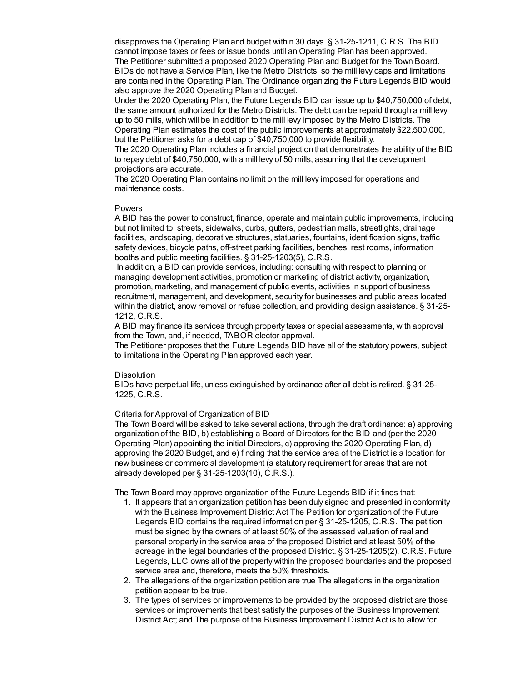disapproves the Operating Plan and budget within 30 days. § 31-25-1211, C.R.S. The BID cannot impose taxes or fees or issue bonds until an Operating Plan has been approved. The Petitioner submitted a proposed 2020 Operating Plan and Budget for the Town Board. BIDs do not have a Service Plan, like the Metro Districts, so the mill levy caps and limitations are contained in the Operating Plan. The Ordinance organizing the Future Legends BID would also approve the 2020 Operating Plan and Budget.

Under the 2020 Operating Plan, the Future Legends BID can issue up to \$40,750,000 of debt, the same amount authorized for the Metro Districts. The debt can be repaid through a mill levy up to 50 mills, which will be in addition to the mill levy imposed by the Metro Districts. The Operating Plan estimates the cost of the public improvements at approximately \$22,500,000, but the Petitioner asks for a debt cap of \$40,750,000 to provide flexibility.

The 2020 Operating Plan includes a financial projection that demonstrates the ability of the BID to repay debt of \$40,750,000, with a mill levy of 50 mills, assuming that the development projections are accurate.

The 2020 Operating Plan contains no limit on the mill levy imposed for operations and maintenance costs.

#### Powers

A BID has the power to construct, finance, operate and maintain public improvements, including but not limited to: streets, sidewalks, curbs, gutters, pedestrian malls, streetlights, drainage facilities, landscaping, decorative structures, statuaries, fountains, identification signs, traffic safety devices, bicycle paths, off-street parking facilities, benches, rest rooms, information booths and public meeting facilities. § 31-25-1203(5), C.R.S.

In addition, a BID can provide services, including: consulting with respect to planning or managing development activities, promotion or marketing of district activity, organization, promotion, marketing, and management of public events, activities in support of business recruitment, management, and development, security for businesses and public areas located within the district, snow removal or refuse collection, and providing design assistance. § 31-25- 1212, C.R.S.

A BID may finance its services through property taxes or special assessments, with approval from the Town, and, if needed, TABOR elector approval.

The Petitioner proposes that the Future Legends BID have all of the statutory powers, subject to limitations in the Operating Plan approved each year.

#### **Dissolution**

BIDs have perpetual life, unless extinguished by ordinance after all debt is retired. § 31-25- 1225, C.R.S.

#### Criteria for Approval of Organization of BID

The Town Board will be asked to take several actions, through the draft ordinance: a) approving organization of the BID, b) establishing a Board of Directors for the BID and (per the 2020 Operating Plan) appointing the initial Directors, c) approving the 2020 Operating Plan, d) approving the 2020 Budget, and e) finding that the service area of the District is a location for new business or commercial development (a statutory requirement for areas that are not already developed per § 31-25-1203(10), C.R.S.).

The Town Board may approve organization of the Future Legends BID if it finds that:

- 1. It appears that an organization petition has been duly signed and presented in conformity with the Business Improvement District Act The Petition for organization of the Future Legends BID contains the required information per § 31-25-1205, C.R.S. The petition must be signed by the owners of at least 50% of the assessed valuation of real and personal property in the service area of the proposed District and at least 50% of the acreage in the legal boundaries of the proposed District. § 31-25-1205(2), C.R.S. Future Legends, LLC owns all of the property within the proposed boundaries and the proposed service area and, therefore, meets the 50% thresholds.
- 2. The allegations of the organization petition are true The allegations in the organization petition appear to be true.
- 3. The types of services or improvements to be provided by the proposed district are those services or improvements that best satisfy the purposes of the Business Improvement District Act; and The purpose of the Business Improvement District Act is to allow for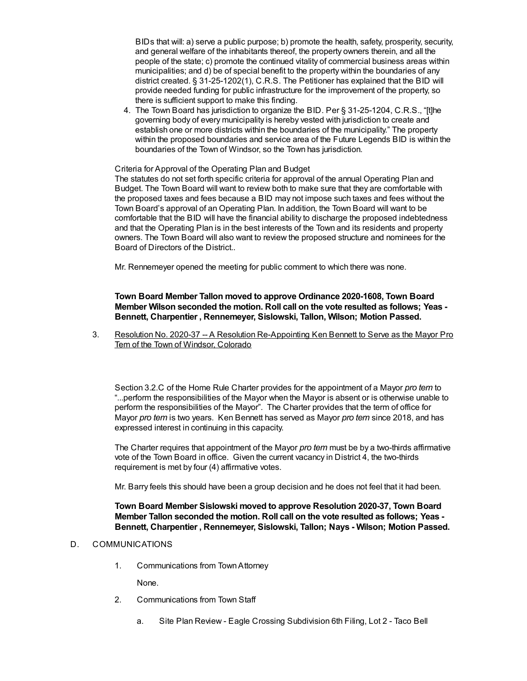BIDs that will: a) serve a public purpose; b) promote the health, safety, prosperity, security, and general welfare of the inhabitants thereof, the property owners therein, and all the people of the state; c) promote the continued vitality of commercial business areas within municipalities; and d) be of special benefit to the property within the boundaries of any district created. § 31-25-1202(1), C.R.S. The Petitioner has explained that the BID will provide needed funding for public infrastructure for the improvement of the property, so there is sufficient support to make this finding.

4. The Town Board has jurisdiction to organize the BID. Per § 31-25-1204, C.R.S., "[t]he governing body of every municipality is hereby vested with jurisdiction to create and establish one or more districts within the boundaries of the municipality." The property within the proposed boundaries and service area of the Future Legends BID is within the boundaries of the Town of Windsor, so the Town has jurisdiction.

#### Criteria for Approval of the Operating Plan and Budget

The statutes do not set forth specific criteria for approval of the annual Operating Plan and Budget. The Town Board will want to review both to make sure that they are comfortable with the proposed taxes and fees because a BID may not impose such taxes and fees without the Town Board's approval of an Operating Plan. In addition, the Town Board will want to be comfortable that the BID will have the financial ability to discharge the proposed indebtedness and that the Operating Plan is in the best interests of the Town and its residents and property owners. The Town Board will also want to review the proposed structure and nominees for the Board of Directors of the District..

Mr. Rennemeyer opened the meeting for public comment to which there was none.

### **Town Board Member Tallon moved to approve Ordinance 2020-1608, Town Board Member Wilson seconded the motion. Roll call on the vote resulted as follows; Yeas - Bennett, Charpentier , Rennemeyer, Sislowski, Tallon, Wilson; Motion Passed.**

3. Resolution No. 2020-37 -- A Resolution Re-Appointing Ken Bennett to Serve as the Mayor Pro Tem of the Town of Windsor, Colorado

Section 3.2.C of the Home Rule Charter provides for the appointment of a Mayor *pro tem* to "...perform the responsibilities of the Mayor when the Mayor is absent or is otherwise unable to perform the responsibilities of the Mayor". The Charter provides that the term of office for Mayor *pro tem* is two years. Ken Bennett has served as Mayor *pro tem* since 2018, and has expressed interest in continuing in this capacity.

The Charter requires that appointment of the Mayor *pro tem* must be by a two-thirds affirmative vote of the Town Board in office. Given the current vacancy in District 4, the two-thirds requirement is met by four (4) affirmative votes.

Mr. Barry feels this should have been a group decision and he does not feel that it had been.

### **Town Board Member Sislowski moved to approve Resolution 2020-37, Town Board Member Tallon seconded the motion. Roll call on the vote resulted as follows; Yeas - Bennett, Charpentier , Rennemeyer, Sislowski, Tallon; Nays - Wilson; Motion Passed.**

## D. COMMUNICATIONS

1. Communications from TownAttorney

None.

- 2. Communications from Town Staff
	- a. Site Plan Review Eagle Crossing Subdivision 6th Filing, Lot 2 Taco Bell